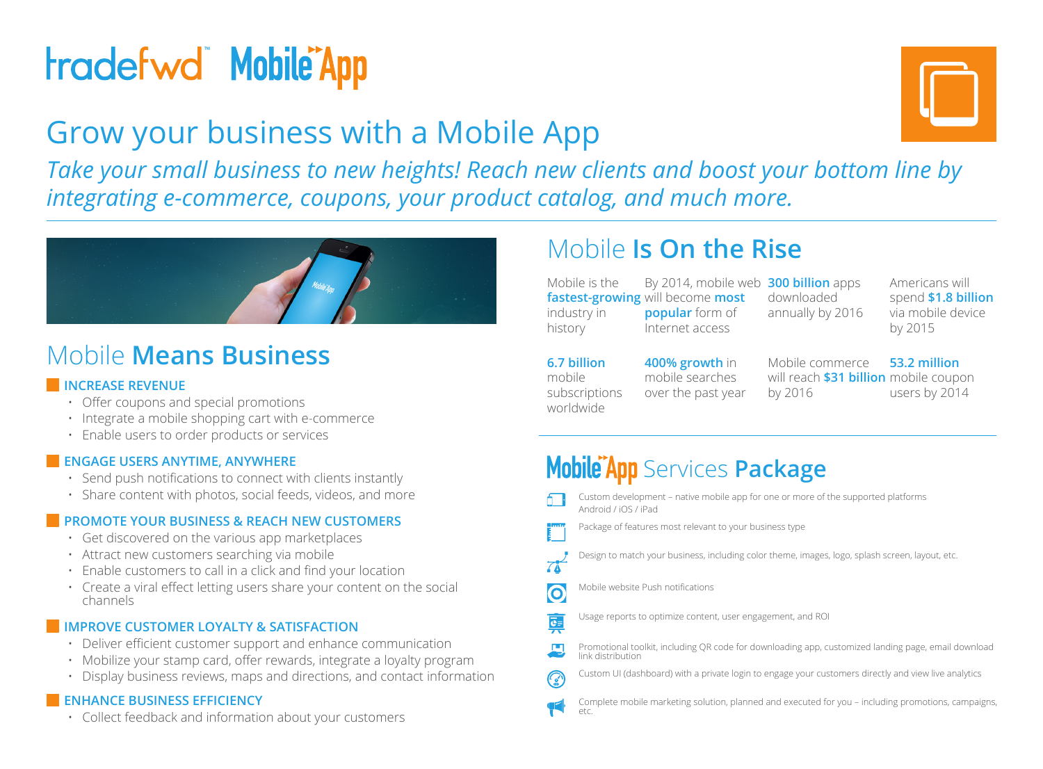# **tradefwd Mobile App**

## Grow your business with a Mobile App

*Take your small business to new heights! Reach new clients and boost your bottom line by integrating e-commerce, coupons, your product catalog, and much more.*



### Mobile **Means Business**

#### **INCREASE REVENUE**

- • Offer coupons and special promotions
- • Integrate a mobile shopping cart with e-commerce
- • Enable users to order products or services

#### **ENGAGE USERS ANYTIME, ANYWHERE**

- • Send push notifications to connect with clients instantly
- Share content with photos, social feeds, videos, and more

#### **PROMOTE YOUR BUSINESS & REACH NEW CUSTOMERS**

- $\cdot$  Get discovered on the various app marketplaces
- Attract new customers searching via mobile
- • Enable customers to call in a click and find your location
- Create a viral effect letting users share your content on the social channels

#### **IMPROVE CUSTOMER LOYALTY & SATISFACTION**

- Deliver efficient customer support and enhance communication
- Mobilize your stamp card, offer rewards, integrate a loyalty program
- Display business reviews, maps and directions, and contact information

#### **ENHANCE BUSINESS EFFICIENCY**

• Collect feedback and information about your customers

## Mobile **Is On the Rise**

Mobile is the **fastest-growing** will become **most**  industry in history **popular** form of Internet access

By 2014, mobile web **300 billion** apps downloaded annually by 2016

Americans will spend **\$1.8 billion** via mobile device by 2015

**6.7 billion**  mobile subscriptions worldwide **400% growth** in

mobile searches over the past year

Mobile commerce will reach **\$31 billion** mobile coupon by 2016

**53.2 million** users by 2014

## **Mobile App** Services **Package**

Custom development – native mobile app for one or more of the supported platforms Android / iOS / iPad

Package of features most relevant to your business type

- Design to match your business, including color theme, images, logo, splash screen, layout, etc.
- $7<sub>h</sub>$

 $\bullet$ 

蓭

Mobile website Push notifications

Usage reports to optimize content, user engagement, and ROI

- Promotional toolkit, including QR code for downloading app, customized landing page, email download link distribution
- Custom UI (dashboard) with a private login to engage your customers directly and view live analytics
- Complete mobile marketing solution, planned and executed for you including promotions, campaigns,  $\rho \uparrow \rho$